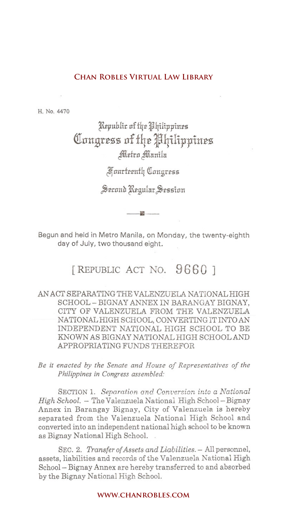H. No. 4470

## Republic of the Philippines Congress of the Philippines Metro Manila

gJf uurfttnf4 Qlun£rt55

Second Regular Session

---i!I--

Begun and held in Metro Manila, on Monday, the twenty-eighth day of July, two thousand eight.

## [REPUBLIC ACT No. **9660 ]**

# AN ACT SEPARATING THE VALENZUELA NATIONAL HIGH SCHOOL - BIGNAY ANNEX IN BARANGAY BIGNAY, CITY OF VALENZUELA FROM THE VALENZUELA NATIONAL HIGH SCHOOL, CONVERTING IT INTO AN INDEPENDENT NATIONAL HIGH SCHOOL TO BE KNOWN AS BIGNAY NATIONAL HIGH SCHOOL AND APPROPRIATING FUNDS THEREFOR **CHAN ROBLES VIRTUAL LAW LIBRARY**<br> **Expublir of the Hilippines**<br> **Connyress of the Hilippines**<br> **Connyress of the Hilippines**<br> **Connyress of the Hilippines**<br> **Connyress Second Regular Session**<br> **Connyress Second Regular Se**

*Be it enacted by the Senate and House of Representatives of the Philippines in Congress assembled:*

SECTION 1. *Separation and Conversion into a National High School.* - The Valenzuela National High School- Bignay Annex in Barangay Bignay, City of Valenzuela is hereby separated from the Valenzuela National High School and converted into an independent national high school to be known as Bignay National High School.

SEC. 2. *Transfer of Assets and Liabilities.* - All personnel, assets, liabilities and records of the Valenzuela National High School- Bignay Annex are hereby transferred to and absorbed by the Bignay National High School.